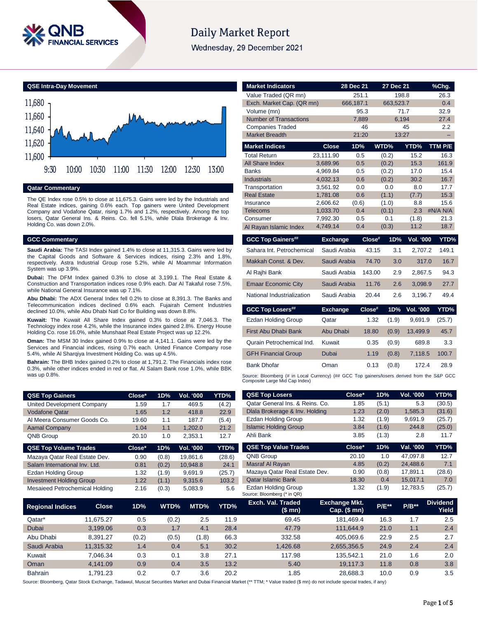

# **Daily Market Report**

Wednesday, 29 December 2021

**QSE Intra-Day Movement**



## **Qatar Commentary**

The QE Index rose 0.5% to close at 11,675.3. Gains were led by the Industrials and Real Estate indices, gaining 0.6% each. Top gainers were United Development Company and Vodafone Qatar, rising 1.7% and 1.2%, respectively. Among the top losers, Qatar General Ins. & Reins. Co. fell 5.1%, while Dlala Brokerage & Inv. Holding Co. was down 2.0%.

# **GCC Commentary**

**Saudi Arabia:** The TASI Index gained 1.4% to close at 11,315.3. Gains were led by the Capital Goods and Software & Services indices, rising 2.3% and 1.8%, respectively. Astra Industrial Group rose 5.2%, while Al Moammar Information System was up 3.9%.

**Dubai:** The DFM Index gained 0.3% to close at 3,199.1. The Real Estate & Construction and Transportation indices rose 0.9% each. Dar Al Takaful rose 7.5%, while National General Insurance was up 7.1%.

**Abu Dhabi:** The ADX General Index fell 0.2% to close at 8,391.3. The Banks and Telecommunication indices declined 0.6% each. Fujairah Cement Industries declined 10.0%, while Abu Dhabi Natl Co for Building was down 8.8%.

**Kuwait:** The Kuwait All Share Index gained 0.3% to close at 7,046.3. The Technology index rose 4.2%, while the Insurance index gained 2.8%. Energy House Holding Co. rose 16.0%, while Munshaat Real Estate Project was up 12.2%.

**Oman:** The MSM 30 Index gained 0.9% to close at 4,141.1. Gains were led by the Services and Financial indices, rising 0.7% each. United Finance Company rose 5.4%, while Al Sharqiya Investment Holding Co. was up 4.5%.

**Bahrain:** The BHB Index gained 0.2% to close at 1,791.2. The Financials index rose 0.3%, while other indices ended in red or flat. Al Salam Bank rose 1.0%, while BBK was up 0.8%.

**QSE Top Gainers Close\* 1D% Vol. '000 YTD%**

| <b>Market Indicators</b>                                                                                                                               |                      | 28 Dec 21   | 27 Dec 21      |                  | $%$ Chg.      |
|--------------------------------------------------------------------------------------------------------------------------------------------------------|----------------------|-------------|----------------|------------------|---------------|
| Value Traded (QR mn)                                                                                                                                   |                      | 251.1       | 198.8          |                  | 26.3          |
| Exch. Market Cap. (QR mn)                                                                                                                              |                      | 666,187.1   | 663,523.7      |                  | 0.4           |
| Volume (mn)                                                                                                                                            |                      | 95.3        |                | 71.7             | 32.9          |
| <b>Number of Transactions</b>                                                                                                                          |                      | 7,889       | 6,194          |                  | 27.4          |
| <b>Companies Traded</b><br><b>Market Breadth</b>                                                                                                       |                      | 46<br>21:20 | 13:27          | 45               | 2.2           |
|                                                                                                                                                        |                      |             |                |                  |               |
| <b>Market Indices</b>                                                                                                                                  | <b>Close</b>         | 1D%         | WTD%           | YTD%             | TTM P/E       |
| <b>Total Return</b>                                                                                                                                    | 23,111.90            | 0.5         | (0.2)          | 15.2             | 16.3          |
| All Share Index                                                                                                                                        | 3,689.96             | 0.5         | (0.2)          | 15.3             | 161.9         |
| <b>Banks</b><br><b>Industrials</b>                                                                                                                     | 4,969.84<br>4,032.13 | 0.5<br>0.6  | (0.2)<br>(0.2) | 17.0<br>30.2     | 15.4<br>16.7  |
| Transportation                                                                                                                                         | 3,561.92             | 0.0         | 0.0            | 8.0              | 17.7          |
| <b>Real Estate</b>                                                                                                                                     | 1,781.08             | 0.6         | (1.1)          | (7.7)            | 15.3          |
| Insurance                                                                                                                                              | 2.606.62             | (0.6)       | (1.0)          | 8.8              | 15.6          |
| <b>Telecoms</b>                                                                                                                                        | 1,033.70             | 0.4         | (0.1)          | 2.3              | #N/A N/A      |
| Consumer                                                                                                                                               | 7,992.30             | 0.5         | 0.1            | (1.8)            | 21.3          |
| Al Rayan Islamic Index                                                                                                                                 | 4,749.14             | 0.4         | (0.3)          | 11.2             | 18.7          |
| <b>GCC Top Gainers##</b>                                                                                                                               | <b>Exchange</b>      | Close#      | 1D%            | <b>Vol. '000</b> | YTD%          |
| Sahara Int. Petrochemical                                                                                                                              | Saudi Arabia         | 43.15       | 3.1            | 2,707.2          | 149.1         |
| Makkah Const, & Dev.                                                                                                                                   | Saudi Arabia         | 74.70       | 3.0            | 317.0            | 16.7          |
| Al Rajhi Bank                                                                                                                                          | Saudi Arabia         | 143.00      | 2.9            | 2.867.5          | 94.3          |
| <b>Emaar Economic City</b>                                                                                                                             | Saudi Arabia         | 11.76       | 2.6            | 3,098.9          | 27.7          |
| National Industrialization                                                                                                                             | Saudi Arabia         | 20.44       | 2.6            | 3,196.7          | 49.4          |
| <b>GCC Top Losers##</b>                                                                                                                                | <b>Exchange</b>      | $Close^*$   | 1D%            | <b>Vol. '000</b> | YTD%          |
| Ezdan Holding Group                                                                                                                                    | Qatar                | 1.32        | (1.9)          | 9,691.9          | (25.7)        |
| <b>First Abu Dhabi Bank</b>                                                                                                                            | <b>Abu Dhabi</b>     | 18.80       | (0.9)          | 13,499.9         | 45.7          |
| Qurain Petrochemical Ind.                                                                                                                              | Kuwait               | 0.35        | (0.9)          | 689.8            | 3.3           |
|                                                                                                                                                        |                      |             |                |                  |               |
| <b>GFH Financial Group</b>                                                                                                                             | Dubai                | 1.19        | (0.8)          | 7,118.5          |               |
| <b>Bank Dhofar</b>                                                                                                                                     | Oman                 | 0.13        | (0.8)          | 172.4            | 100.7<br>28.9 |
|                                                                                                                                                        |                      |             |                |                  |               |
| Source: Bloomberg (# in Local Currency) (## GCC Top gainers/losers derived from the S&P GCC<br>Composite Large Mid Cap Index)<br><b>QSE Top Losers</b> |                      | Close*      | 1D%            | Vol. '000        | YTD%          |

| United Development Company      | .59    | 1.7   | 469.5     | (4.2)  | Qatar General Ins. & Reins. Co. | 1.85   | (5.1) | 5.3       | (30.5) |
|---------------------------------|--------|-------|-----------|--------|---------------------------------|--------|-------|-----------|--------|
| <b>Vodafone Qatar</b>           | 1.65   | 1.2   | 418.8     | 22.9   | Dlala Brokerage & Inv. Holding  | 1.23   | (2.0) | 1.585.3   | (31.6) |
| Al Meera Consumer Goods Co.     | 19.60  | 1.1   | 187.7     | (5.4)  | Ezdan Holding Group             | 1.32   | (1.9) | 9,691.9   | (25.7) |
| <b>Aamal Company</b>            | 1.04   | 1.1   | 1,202.0   | 21.2   | <b>Islamic Holding Group</b>    | 3.84   | (1.6) | 244.8     | (25.0) |
| <b>QNB Group</b>                | 20.10  | 1.0   | 2,353.1   | 12.7   | Ahli Bank                       | 3.85   | (1.3) | 2.8       | 11.7   |
|                                 |        |       |           |        |                                 |        |       |           |        |
| <b>QSE Top Volume Trades</b>    | Close* | 1D%   | Vol. '000 | YTD%   | <b>QSE Top Value Trades</b>     | Close* | 1D%   | Val. '000 | YTD%   |
| Mazaya Qatar Real Estate Dev.   | 0.90   | (0.8) | 19,861.6  | (28.6) | QNB Group                       | 20.10  | 1.0   | 47.097.8  | 12.7   |
| Salam International Inv. Ltd.   | 0.81   | (0.2) | 10,948.8  | 24.1   | Masraf Al Rayan                 | 4.85   | (0.2) | 24.488.6  | 7.1    |
| Ezdan Holding Group             | 1.32   | (1.9) | 9,691.9   | (25.7) | Mazaya Qatar Real Estate Dev.   | 0.90   | (0.8) | 17.891.1  | (28.6) |
| <b>Investment Holding Group</b> | 1.22   | (1.1) | 9,315.6   | 103.2  | <b>Qatar Islamic Bank</b>       | 18.30  | 0.4   | 15.017.1  | 7.0    |

|                         |              |       |       |       |      | Source: Bloomberg (* in QR)  |                                      |              |         |                          |
|-------------------------|--------------|-------|-------|-------|------|------------------------------|--------------------------------------|--------------|---------|--------------------------|
| <b>Regional Indices</b> | <b>Close</b> | 1D%   | WTD%  | MTD%  | YTD% | Exch. Val. Traded<br>(\$ mn) | <b>Exchange Mkt.</b><br>Cap. $($mn)$ | <b>P/E**</b> | $P/B**$ | <b>Dividend</b><br>Yield |
| Qatar*                  | 11.675.27    | 0.5   | (0.2) | 2.5   | 11.9 | 69.45                        | 181.469.4                            | 16.3         | 1.7     | 2.5                      |
| Dubai                   | 3.199.06     | 0.3   | 1.7   | 4.1   | 28.4 | 47.79                        | 111.644.9                            | 21.0         | 1.1     | 2.4                      |
| Abu Dhabi               | 8.391.27     | (0.2) | (0.5) | (1.8) | 66.3 | 332.58                       | 405.069.6                            | 22.9         | 2.5     | 2.7                      |
| Saudi Arabia            | 11,315.32    | 1.4   | 0.4   | 5.1   | 30.2 | 1,426.68                     | 2,655,356.5                          | 24.9         | 2.4     | 2.4                      |
| Kuwait                  | 7.046.34     | 0.3   | 0.1   | 3.8   | 27.1 | 117.98                       | 135.542.1                            | 21.0         | 1.6     | 2.0                      |
| Oman                    | 4.141.09     | 0.9   | 0.4   | 3.5   | 13.2 | 5.40                         | 19.117.3                             | 11.8         | 0.8     | 3.8                      |
| <b>Bahrain</b>          | .791.23      | 0.2   | 0.7   | 3.6   | 20.2 | 1.85                         | 28.688.3                             | 10.0         | 0.9     | 3.5                      |

Source: Bloomberg, Qatar Stock Exchange, Tadawul, Muscat Securities Market and Dubai Financial Market (\*\* TTM; \* Value traded (\$ mn) do not include special trades, if any)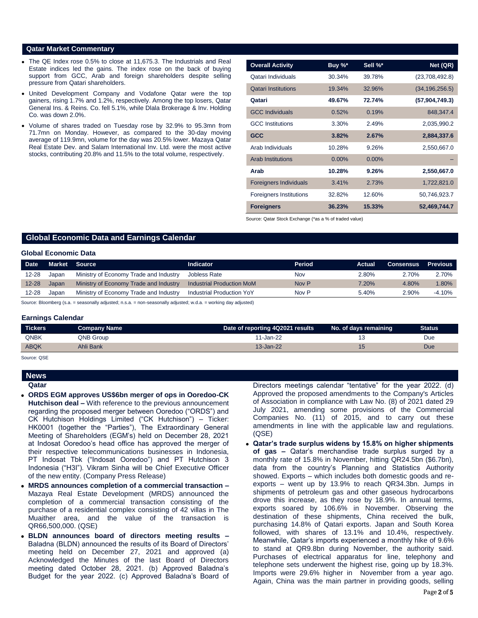# **Qatar Market Commentary**

- The QE Index rose 0.5% to close at 11,675.3. The Industrials and Real Estate indices led the gains. The index rose on the back of buying support from GCC, Arab and foreign shareholders despite selling pressure from Qatari shareholders.
- United Development Company and Vodafone Qatar were the top gainers, rising 1.7% and 1.2%, respectively. Among the top losers, Qatar General Ins. & Reins. Co. fell 5.1%, while Dlala Brokerage & Inv. Holding Co. was down 2.0%.
- Volume of shares traded on Tuesday rose by 32.9% to 95.3mn from 71.7mn on Monday. However, as compared to the 30-day moving average of 119.9mn, volume for the day was 20.5% lower. Mazaya Qatar Real Estate Dev. and Salam International Inv. Ltd. were the most active stocks, contributing 20.8% and 11.5% to the total volume, respectively.

| <b>Overall Activity</b>        | Buy %*   | Sell %*  | Net (QR)         |
|--------------------------------|----------|----------|------------------|
| Qatari Individuals             | 30.34%   | 39.78%   | (23,708,492.8)   |
| <b>Qatari Institutions</b>     | 19.34%   | 32.96%   | (34, 196, 256.5) |
| Qatari                         | 49.67%   | 72.74%   | (57, 904, 749.3) |
| <b>GCC Individuals</b>         | 0.52%    | 0.19%    | 848,347.4        |
| <b>GCC</b> Institutions        | 3.30%    | 2.49%    | 2,035,990.2      |
| <b>GCC</b>                     | 3.82%    | 2.67%    | 2,884,337.6      |
| Arab Individuals               | 10.28%   | 9.26%    | 2,550,667.0      |
| <b>Arab Institutions</b>       | $0.00\%$ | $0.00\%$ |                  |
| Arab                           | 10.28%   | 9.26%    | 2,550,667.0      |
| <b>Foreigners Individuals</b>  | 3.41%    | 2.73%    | 1,722,821.0      |
| <b>Foreigners Institutions</b> | 32.82%   | 12.60%   | 50,746,923.7     |
| <b>Foreigners</b>              | 36.23%   | 15.33%   | 52,469,744.7     |

Source: Qatar Stock Exchange (\*as a % of traded value)

# **Global Economic Data and Earnings Calendar**

## **Global Economic Data**

| <b>Date</b> | Market | Source                                 | <b>Indicator</b>                 | Period | Actual | <b>Consensus</b> | <b>Previous</b> |
|-------------|--------|----------------------------------------|----------------------------------|--------|--------|------------------|-----------------|
| $12 - 28$   | Japan  | Ministry of Economy Trade and Industry | Jobless Rate                     | Nov    | 2.80%  | 2.70%            | 2.70%           |
| $12 - 28$   | Japan  | Ministry of Economy Trade and Industry | <b>Industrial Production MoM</b> | Nov P  | 7.20%  | 4.80%            | $1.80\%$        |
| $12 - 28$   | Japan  | Ministry of Economy Trade and Industry | Industrial Production YoY        | Nov P  | 5.40%  | 2.90%            | $-4.10\%$       |

Source: Bloomberg (s.a. = seasonally adjusted; n.s.a. = non-seasonally adjusted; w.d.a. = working day adjusted)

### **Earnings Calendar**

| <b>QNBK</b><br>QNB Group<br>11-Jan-22<br>Due<br><b>ABQK</b><br>$13 - Jan-22$<br>Ahli Bank<br>Due | Tickers | <b>Company Name</b> | Date of reporting 4Q2021 results | No. of days remaining | <b>Status</b> |
|--------------------------------------------------------------------------------------------------|---------|---------------------|----------------------------------|-----------------------|---------------|
|                                                                                                  |         |                     |                                  |                       |               |
|                                                                                                  |         |                     |                                  |                       |               |

Source: QSE

# **News**

**Qatar** 

- **ORDS EGM approves US\$6bn merger of ops in Ooredoo-CK Hutchison deal –** With reference to the previous announcement regarding the proposed merger between Ooredoo ("ORDS") and CK Hutchison Holdings Limited ("CK Hutchison") – Ticker: HK0001 (together the "Parties"), The Extraordinary General Meeting of Shareholders (EGM's) held on December 28, 2021 at Indosat Ooredoo's head office has approved the merger of their respective telecommunications businesses in Indonesia, PT Indosat Tbk ("Indosat Ooredoo") and PT Hutchison 3 Indonesia ("H3I"). Vikram Sinha will be Chief Executive Officer of the new entity. (Company Press Release)
- **MRDS announces completion of a commercial transaction –** Mazaya Real Estate Development (MRDS) announced the completion of a commercial transaction consisting of the purchase of a residential complex consisting of 42 villas in The Muaither area, and the value of the transaction is QR66,500,000. (QSE)
- **BLDN announces board of directors meeting results –** Baladna (BLDN) announced the results of its Board of Directors' meeting held on December 27, 2021 and approved (a) Acknowledged the Minutes of the last Board of Directors meeting dated October 28, 2021. (b) Approved Baladna's Budget for the year 2022. (c) Approved Baladna's Board of

Directors meetings calendar "tentative" for the year 2022. (d) Approved the proposed amendments to the Company's Articles of Association in compliance with Law No. (8) of 2021 dated 29 July 2021, amending some provisions of the Commercial Companies No. (11) of 2015, and to carry out these amendments in line with the applicable law and regulations. (QSE)

 **Qatar's trade surplus widens by 15.8% on higher shipments of gas –** Qatar's merchandise trade surplus surged by a monthly rate of 15.8% in November, hitting QR24.5bn (\$6.7bn), data from the country's Planning and Statistics Authority showed. Exports – which includes both domestic goods and reexports – went up by 13.9% to reach QR34.3bn. Jumps in shipments of petroleum gas and other gaseous hydrocarbons drove this increase, as they rose by 18.9%. In annual terms, exports soared by 106.6% in November. Observing the destination of these shipments, China received the bulk, purchasing 14.8% of Qatari exports. Japan and South Korea followed, with shares of 13.1% and 10.4%, respectively. Meanwhile, Qatar's imports experienced a monthly hike of 9.6% to stand at QR9.8bn during November, the authority said. Purchases of electrical apparatus for line, telephony and telephone sets underwent the highest rise, going up by 18.3%. Imports were 29.6% higher in November from a year ago. Again, China was the main partner in providing goods, selling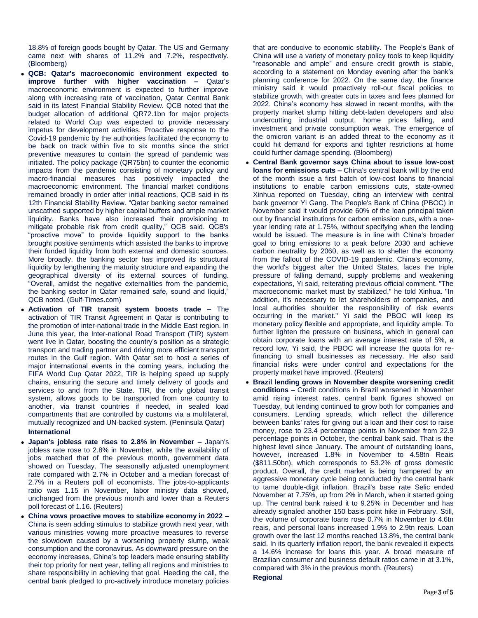18.8% of foreign goods bought by Qatar. The US and Germany came next with shares of 11.2% and 7.2%, respectively. (Bloomberg)

- **QCB: Qatar's macroeconomic environment expected to improve further with higher vaccination –** Qatar's macroeconomic environment is expected to further improve along with increasing rate of vaccination, Qatar Central Bank said in its latest Financial Stability Review. QCB noted that the budget allocation of additional QR72.1bn for major projects related to World Cup was expected to provide necessary impetus for development activities. Proactive response to the Covid-19 pandemic by the authorities facilitated the economy to be back on track within five to six months since the strict preventive measures to contain the spread of pandemic was initiated. The policy package (QR75bn) to counter the economic impacts from the pandemic consisting of monetary policy and macro-financial measures has positively impacted the macroeconomic environment. The financial market conditions remained broadly in order after initial reactions, QCB said in its 12th Financial Stability Review. "Qatar banking sector remained unscathed supported by higher capital buffers and ample market liquidity. Banks have also increased their provisioning to mitigate probable risk from credit quality," QCB said. QCB's "proactive move" to provide liquidity support to the banks brought positive sentiments which assisted the banks to improve their funded liquidity from both external and domestic sources. More broadly, the banking sector has improved its structural liquidity by lengthening the maturity structure and expanding the geographical diversity of its external sources of funding. "Overall, amidst the negative externalities from the pandemic, the banking sector in Qatar remained safe, sound and liquid," QCB noted. (Gulf-Times.com)
- **Activation of TIR transit system boosts trade –** The activation of TIR Transit Agreement in Qatar is contributing to the promotion of inter-national trade in the Middle East region. In June this year, the Inter-national Road Transport (TIR) system went live in Qatar, boosting the country's position as a strategic transport and trading partner and driving more efficient transport routes in the Gulf region. With Qatar set to host a series of major international events in the coming years, including the FIFA World Cup Qatar 2022, TIR is helping speed up supply chains, ensuring the secure and timely delivery of goods and services to and from the State. TIR, the only global transit system, allows goods to be transported from one country to another, via transit countries if needed, in sealed load compartments that are controlled by customs via a multilateral, mutually recognized and UN-backed system. (Peninsula Qatar) **International**
- **Japan's jobless rate rises to 2.8% in November –** Japan's jobless rate rose to 2.8% in November, while the availability of jobs matched that of the previous month, government data showed on Tuesday. The seasonally adjusted unemployment rate compared with 2.7% in October and a median forecast of 2.7% in a Reuters poll of economists. The jobs-to-applicants ratio was 1.15 in November, labor ministry data showed, unchanged from the previous month and lower than a Reuters poll forecast of 1.16. (Reuters)
- **China vows proactive moves to stabilize economy in 2022 –** China is seen adding stimulus to stabilize growth next year, with various ministries vowing more proactive measures to reverse the slowdown caused by a worsening property slump, weak consumption and the coronavirus. As downward pressure on the economy increases, China's top leaders made ensuring stability their top priority for next year, telling all regions and ministries to share responsibility in achieving that goal. Heeding the call, the central bank pledged to pro-actively introduce monetary policies

that are conducive to economic stability. The People's Bank of China will use a variety of monetary policy tools to keep liquidity "reasonable and ample" and ensure credit growth is stable, according to a statement on Monday evening after the bank's planning conference for 2022. On the same day, the finance ministry said it would proactively roll-out fiscal policies to stabilize growth, with greater cuts in taxes and fees planned for 2022. China's economy has slowed in recent months, with the property market slump hitting debt-laden developers and also undercutting industrial output, home prices falling, and investment and private consumption weak. The emergence of the omicron variant is an added threat to the economy as it could hit demand for exports and tighter restrictions at home could further damage spending. (Bloomberg)

- **Central Bank governor says China about to issue low-cost loans for emissions cuts –** China's central bank will by the end of the month issue a first batch of low-cost loans to financial institutions to enable carbon emissions cuts, state-owned Xinhua reported on Tuesday, citing an interview with central bank governor Yi Gang. The People's Bank of China (PBOC) in November said it would provide 60% of the loan principal taken out by financial institutions for carbon emission cuts, with a oneyear lending rate at 1.75%, without specifying when the lending would be issued. The measure is in line with China's broader goal to bring emissions to a peak before 2030 and achieve carbon neutrality by 2060, as well as to shelter the economy from the fallout of the COVID-19 pandemic. China's economy, the world's biggest after the United States, faces the triple pressure of falling demand, supply problems and weakening expectations, Yi said, reiterating previous official comment. "The macroeconomic market must by stabilized," he told Xinhua. "In addition, it's necessary to let shareholders of companies, and local authorities shoulder the responsibility of risk events occurring in the market." Yi said the PBOC will keep its monetary policy flexible and appropriate, and liquidity ample. To further lighten the pressure on business, which in general can obtain corporate loans with an average interest rate of 5%, a record low, Yi said, the PBOC will increase the quota for refinancing to small businesses as necessary. He also said financial risks were under control and expectations for the property market have improved. (Reuters)
- **Brazil lending grows in November despite worsening credit conditions –** Credit conditions in Brazil worsened in November amid rising interest rates, central bank figures showed on Tuesday, but lending continued to grow both for companies and consumers. Lending spreads, which reflect the difference between banks' rates for giving out a loan and their cost to raise money, rose to 23.4 percentage points in November from 22.9 percentage points in October, the central bank said. That is the highest level since January. The amount of outstanding loans, however, increased 1.8% in November to 4.58tn Reais (\$811.50bn), which corresponds to 53.2% of gross domestic product. Overall, the credit market is being hampered by an aggressive monetary cycle being conducted by the central bank to tame double-digit inflation. Brazil's base rate Selic ended November at 7.75%, up from 2% in March, when it started going up. The central bank raised it to 9.25% in December and has already signaled another 150 basis-point hike in February. Still, the volume of corporate loans rose 0.7% in November to 4.6tn reais, and personal loans increased 1.9% to 2.9tn reais. Loan growth over the last 12 months reached 13.8%, the central bank said. In its quarterly inflation report, the bank revealed it expects a 14.6% increase for loans this year. A broad measure of Brazilian consumer and business default ratios came in at 3.1%, compared with 3% in the previous month. (Reuters) **Regional**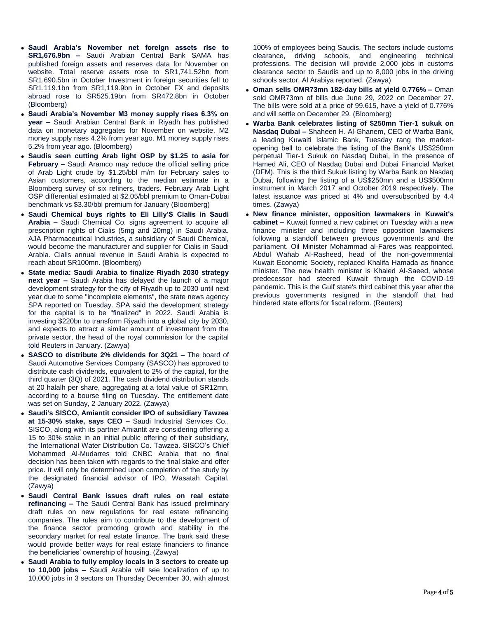- **Saudi Arabia's November net foreign assets rise to SR1,676.9bn –** Saudi Arabian Central Bank SAMA has published foreign assets and reserves data for November on website. Total reserve assets rose to SR1,741.52bn from SR1,690.5bn in October Investment in foreign securities fell to SR1,119.1bn from SR1,119.9bn in October FX and deposits abroad rose to SR525.19bn from SR472.8bn in October (Bloomberg)
- **Saudi Arabia's November M3 money supply rises 6.3% on year –** Saudi Arabian Central Bank in Riyadh has published data on monetary aggregates for November on website. M2 money supply rises 4.2% from year ago. M1 money supply rises 5.2% from year ago. (Bloomberg)
- **Saudis seen cutting Arab light OSP by \$1.25 to asia for February –** Saudi Aramco may reduce the official selling price of Arab Light crude by \$1.25/bbl m/m for February sales to Asian customers, according to the median estimate in a Bloomberg survey of six refiners, traders. February Arab Light OSP differential estimated at \$2.05/bbl premium to Oman-Dubai benchmark vs \$3.30/bbl premium for January (Bloomberg)
- **Saudi Chemical buys rights to Eli Lilly'S Cialis in Saudi Arabia –** Saudi Chemical Co. signs agreement to acquire all prescription rights of Cialis (5mg and 20mg) in Saudi Arabia. AJA Pharmaceutical Industries, a subsidiary of Saudi Chemical, would become the manufacturer and supplier for Cialis in Saudi Arabia. Cialis annual revenue in Saudi Arabia is expected to reach about SR100mn. (Bloomberg)
- **State media: Saudi Arabia to finalize Riyadh 2030 strategy next year –** Saudi Arabia has delayed the launch of a major development strategy for the city of Riyadh up to 2030 until next year due to some "incomplete elements", the state news agency SPA reported on Tuesday. SPA said the development strategy for the capital is to be "finalized" in 2022. Saudi Arabia is investing \$220bn to transform Riyadh into a global city by 2030, and expects to attract a similar amount of investment from the private sector, the head of the royal commission for the capital told Reuters in January. (Zawya)
- **SASCO to distribute 2% dividends for 3Q21 –** The board of Saudi Automotive Services Company (SASCO) has approved to distribute cash dividends, equivalent to 2% of the capital, for the third quarter (3Q) of 2021. The cash dividend distribution stands at 20 halalh per share, aggregating at a total value of SR12mn, according to a bourse filing on Tuesday. The entitlement date was set on Sunday, 2 January 2022. (Zawya)
- **Saudi's SISCO, Amiantit consider IPO of subsidiary Tawzea at 15-30% stake, says CEO –** Saudi Industrial Services Co., SISCO, along with its partner Amiantit are considering offering a 15 to 30% stake in an initial public offering of their subsidiary, the International Water Distribution Co. Tawzea. SISCO's Chief Mohammed Al-Mudarres told CNBC Arabia that no final decision has been taken with regards to the final stake and offer price. It will only be determined upon completion of the study by the designated financial advisor of IPO, Wasatah Capital. (Zawya)
- **Saudi Central Bank issues draft rules on real estate refinancing –** The Saudi Central Bank has issued preliminary draft rules on new regulations for real estate refinancing companies. The rules aim to contribute to the development of the finance sector promoting growth and stability in the secondary market for real estate finance. The bank said these would provide better ways for real estate financiers to finance the beneficiaries' ownership of housing. (Zawya)
- **Saudi Arabia to fully employ locals in 3 sectors to create up to 10,000 jobs –** Saudi Arabia will see localization of up to 10,000 jobs in 3 sectors on Thursday December 30, with almost

100% of employees being Saudis. The sectors include customs clearance, driving schools, and engineering technical professions. The decision will provide 2,000 jobs in customs clearance sector to Saudis and up to 8,000 jobs in the driving schools sector, Al Arabiya reported. (Zawya)

- **Oman sells OMR73mn 182-day bills at yield 0.776% –** Oman sold OMR73mn of bills due June 29, 2022 on December 27. The bills were sold at a price of 99.615, have a yield of 0.776% and will settle on December 29. (Bloomberg)
- **Warba Bank celebrates listing of \$250mn Tier-1 sukuk on Nasdaq Dubai –** Shaheen H. Al-Ghanem, CEO of Warba Bank, a leading Kuwaiti Islamic Bank, Tuesday rang the marketopening bell to celebrate the listing of the Bank's US\$250mn perpetual Tier-1 Sukuk on Nasdaq Dubai, in the presence of Hamed Ali, CEO of Nasdaq Dubai and Dubai Financial Market (DFM). This is the third Sukuk listing by Warba Bank on Nasdaq Dubai, following the listing of a US\$250mn and a US\$500mn instrument in March 2017 and October 2019 respectively. The latest issuance was priced at 4% and oversubscribed by 4.4 times. (Zawya)
- **New finance minister, opposition lawmakers in Kuwait's cabinet –** Kuwait formed a new cabinet on Tuesday with a new finance minister and including three opposition lawmakers following a standoff between previous governments and the parliament. Oil Minister Mohammad al-Fares was reappointed. Abdul Wahab Al-Rasheed, head of the non-governmental Kuwait Economic Society, replaced Khalifa Hamada as finance minister. The new health minister is Khaled Al-Saeed, whose predecessor had steered Kuwait through the COVID-19 pandemic. This is the Gulf state's third cabinet this year after the previous governments resigned in the standoff that had hindered state efforts for fiscal reform. (Reuters)